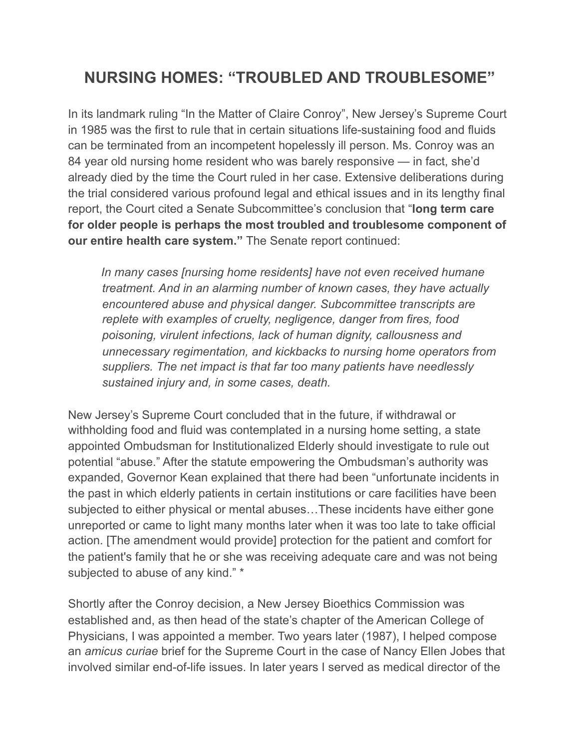## **NURSING HOMES: "TROUBLED AND TROUBLESOME"**

In its landmark ruling "In the Matter of Claire Conroy", New Jersey's Supreme Court in 1985 was the first to rule that in certain situations life-sustaining food and fluids can be terminated from an incompetent hopelessly ill person. Ms. Conroy was an 84 year old nursing home resident who was barely responsive — in fact, she'd already died by the time the Court ruled in her case. Extensive deliberations during the trial considered various profound legal and ethical issues and in its lengthy final report, the Court cited a Senate Subcommittee's conclusion that "**long term care for older people is perhaps the most troubled and troublesome component of our entire health care system."** The Senate report continued:

 *In many cases [nursing home residents] have not even received humane treatment. And in an alarming number of known cases, they have actually encountered abuse and physical danger. Subcommittee transcripts are replete with examples of cruelty, negligence, danger from fires, food poisoning, virulent infections, lack of human dignity, callousness and unnecessary regimentation, and kickbacks to nursing home operators from suppliers. The net impact is that far too many patients have needlessly sustained injury and, in some cases, death.* 

New Jersey's Supreme Court concluded that in the future, if withdrawal or withholding food and fluid was contemplated in a nursing home setting, a state appointed Ombudsman for Institutionalized Elderly should investigate to rule out potential "abuse." After the statute empowering the Ombudsman's authority was expanded, Governor Kean explained that there had been "unfortunate incidents in the past in which elderly patients in certain institutions or care facilities have been subjected to either physical or mental abuses…These incidents have either gone unreported or came to light many months later when it was too late to take official action. [The amendment would provide] protection for the patient and comfort for the patient's family that he or she was receiving adequate care and was not being subjected to abuse of any kind." \*

Shortly after the Conroy decision, a New Jersey Bioethics Commission was established and, as then head of the state's chapter of the American College of Physicians, I was appointed a member. Two years later (1987), I helped compose an *amicus curiae* brief for the Supreme Court in the case of Nancy Ellen Jobes that involved similar end-of-life issues. In later years I served as medical director of the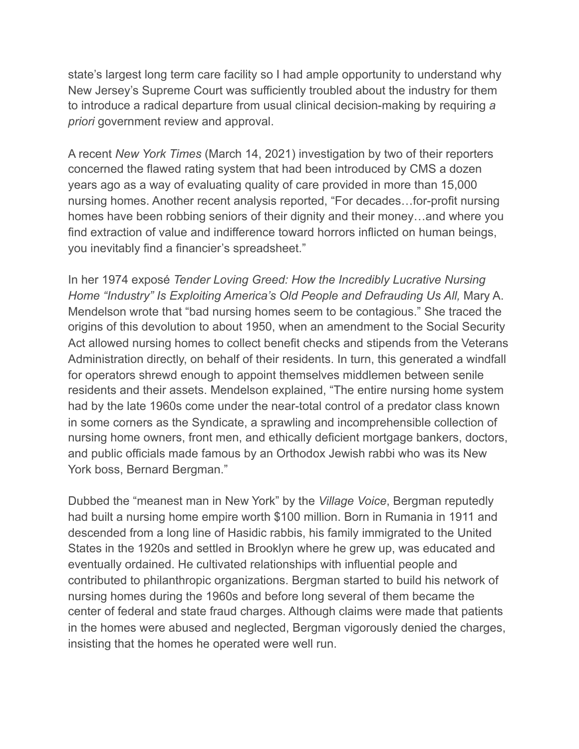state's largest long term care facility so I had ample opportunity to understand why New Jersey's Supreme Court was sufficiently troubled about the industry for them to introduce a radical departure from usual clinical decision-making by requiring *a priori* government review and approval.

A recent *New York Times* (March 14, 2021) investigation by two of their reporters concerned the flawed rating system that had been introduced by CMS a dozen years ago as a way of evaluating quality of care provided in more than 15,000 nursing homes. Another recent analysis reported, "For decades…for-profit nursing homes have been robbing seniors of their dignity and their money…and where you find extraction of value and indifference toward horrors inflicted on human beings, you inevitably find a financier's spreadsheet."

In her 1974 exposé *Tender Loving Greed: How the Incredibly Lucrative Nursing Home "Industry" Is Exploiting America's Old People and Defrauding Us All,* Mary A. Mendelson wrote that "bad nursing homes seem to be contagious." She traced the origins of this devolution to about 1950, when an amendment to the Social Security Act allowed nursing homes to collect benefit checks and stipends from the Veterans Administration directly, on behalf of their residents. In turn, this generated a windfall for operators shrewd enough to appoint themselves middlemen between senile residents and their assets. Mendelson explained, "The entire nursing home system had by the late 1960s come under the near-total control of a predator class known in some corners as the Syndicate, a sprawling and incomprehensible collection of nursing home owners, front men, and ethically deficient mortgage bankers, doctors, and public officials made famous by an Orthodox Jewish rabbi who was its New York boss, Bernard Bergman."

Dubbed the "meanest man in New York" by the *Village Voice*, Bergman reputedly had built a nursing home empire worth \$100 million. Born in Rumania in 1911 and descended from a long line of Hasidic rabbis, his family immigrated to the United States in the 1920s and settled in Brooklyn where he grew up, was educated and eventually ordained. He cultivated relationships with influential people and contributed to philanthropic organizations. Bergman started to build his network of nursing homes during the 1960s and before long several of them became the center of federal and state fraud charges. Although claims were made that patients in the homes were abused and neglected, Bergman vigorously denied the charges, insisting that the homes he operated were well run.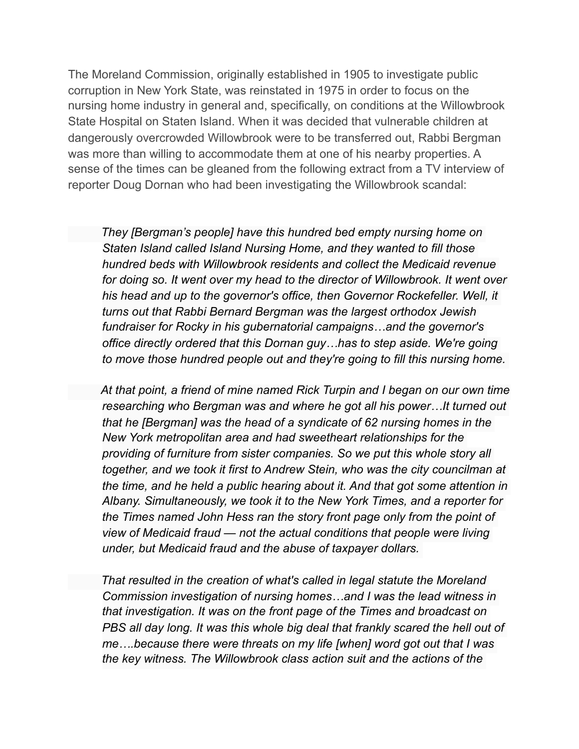The Moreland Commission, originally established in 1905 to investigate public corruption in New York State, was reinstated in 1975 in order to focus on the nursing home industry in general and, specifically, on conditions at the Willowbrook State Hospital on Staten Island. When it was decided that vulnerable children at dangerously overcrowded Willowbrook were to be transferred out, Rabbi Bergman was more than willing to accommodate them at one of his nearby properties. A sense of the times can be gleaned from the following extract from a TV interview of reporter Doug Dornan who had been investigating the Willowbrook scandal:

 *They [Bergman's people] have this hundred bed empty nursing home on Staten Island called Island Nursing Home, and they wanted to fill those hundred beds with Willowbrook residents and collect the Medicaid revenue*  for doing so. It went over my head to the director of Willowbrook. It went over *his head and up to the governor's office, then Governor Rockefeller. Well, it turns out that Rabbi Bernard Bergman was the largest orthodox Jewish fundraiser for Rocky in his gubernatorial campaigns…and the governor's office directly ordered that this Dornan guy…has to step aside. We're going to move those hundred people out and they're going to fill this nursing home.* 

 *At that point, a friend of mine named Rick Turpin and I began on our own time researching who Bergman was and where he got all his power…It turned out that he [Bergman] was the head of a syndicate of 62 nursing homes in the New York metropolitan area and had sweetheart relationships for the providing of furniture from sister companies. So we put this whole story all together, and we took it first to Andrew Stein, who was the city councilman at the time, and he held a public hearing about it. And that got some attention in Albany. Simultaneously, we took it to the New York Times, and a reporter for the Times named John Hess ran the story front page only from the point of view of Medicaid fraud — not the actual conditions that people were living under, but Medicaid fraud and the abuse of taxpayer dollars.* 

 *That resulted in the creation of what's called in legal statute the Moreland Commission investigation of nursing homes…and I was the lead witness in that investigation. It was on the front page of the Times and broadcast on PBS all day long. It was this whole big deal that frankly scared the hell out of me….because there were threats on my life [when] word got out that I was the key witness. The Willowbrook class action suit and the actions of the*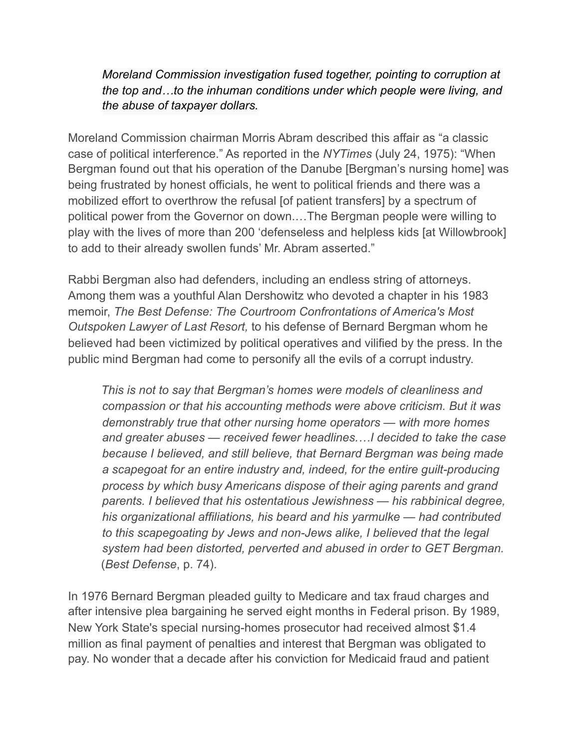*Moreland Commission investigation fused together, pointing to corruption at the top and…to the inhuman conditions under which people were living, and the abuse of taxpayer dollars.*

Moreland Commission chairman Morris Abram described this affair as "a classic case of political interference." As reported in the *NYTimes* (July 24, 1975): "When Bergman found out that his operation of the Danube [Bergman's nursing home] was being frustrated by honest officials, he went to political friends and there was a mobilized effort to overthrow the refusal [of patient transfers] by a spectrum of political power from the Governor on down.…The Bergman people were willing to play with the lives of more than 200 'defenseless and helpless kids [at Willowbrook] to add to their already swollen funds' Mr. Abram asserted."

Rabbi Bergman also had defenders, including an endless string of attorneys. Among them was a youthful Alan Dershowitz who devoted a chapter in his 1983 memoir, *The Best Defense: The Courtroom Confrontations of America's Most Outspoken Lawyer of Last Resort,* to his defense of Bernard Bergman whom he believed had been victimized by political operatives and vilified by the press. In the public mind Bergman had come to personify all the evils of a corrupt industry.

 *This is not to say that Bergman's homes were models of cleanliness and compassion or that his accounting methods were above criticism. But it was demonstrably true that other nursing home operators — with more homes and greater abuses — received fewer headlines.…I decided to take the case because I believed, and still believe, that Bernard Bergman was being made*  a scapegoat for an entire industry and, indeed, for the entire guilt-producing *process by which busy Americans dispose of their aging parents and grand parents. I believed that his ostentatious Jewishness — his rabbinical degree, his organizational affiliations, his beard and his yarmulke — had contributed to this scapegoating by Jews and non-Jews alike, I believed that the legal system had been distorted, perverted and abused in order to GET Bergman.*  (*Best Defense*, p. 74).

In 1976 Bernard Bergman pleaded guilty to Medicare and tax fraud charges and after intensive plea bargaining he served eight months in Federal prison. By 1989, New York State's special nursing-homes prosecutor had received almost \$1.4 million as final payment of penalties and interest that Bergman was obligated to pay. No wonder that a decade after his conviction for Medicaid fraud and patient